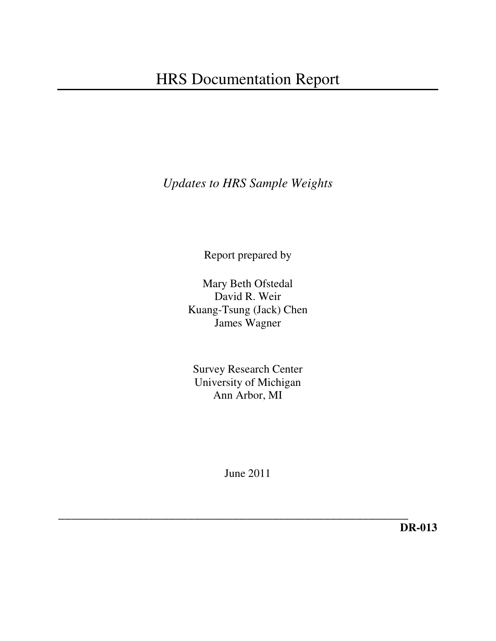*Updates to HRS Sample Weights* 

Report prepared by

Mary Beth Ofstedal David R. Weir Kuang-Tsung (Jack) Chen James Wagner

Survey Research Center University of Michigan Ann Arbor, MI

June 2011

*\_\_\_\_\_\_\_\_\_\_\_\_\_\_\_\_\_\_\_\_\_\_\_\_\_\_\_\_\_\_\_\_\_\_\_\_\_\_\_\_\_\_\_\_\_\_\_\_\_\_\_\_\_\_*  **DR-013**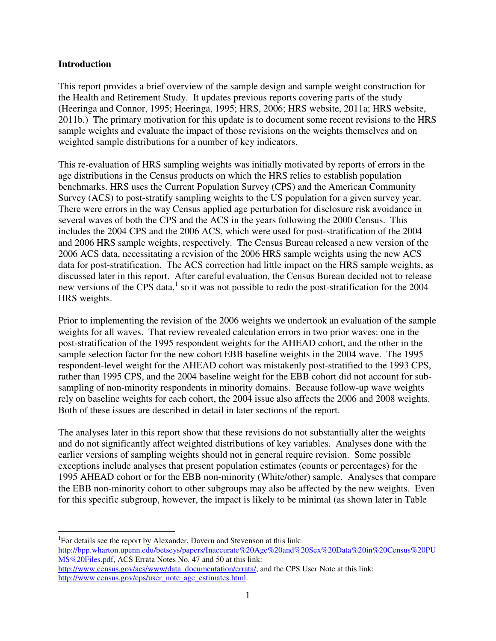### **Introduction**

 $\overline{a}$ 

This report provides a brief overview of the sample design and sample weight construction for the Health and Retirement Study. It updates previous reports covering parts of the study (Heeringa and Connor, 1995; Heeringa, 1995; HRS, 2006; HRS website, 2011a; HRS website, 2011b.) The primary motivation for this update is to document some recent revisions to the HRS sample weights and evaluate the impact of those revisions on the weights themselves and on weighted sample distributions for a number of key indicators.

This re-evaluation of HRS sampling weights was initially motivated by reports of errors in the age distributions in the Census products on which the HRS relies to establish population benchmarks. HRS uses the Current Population Survey (CPS) and the American Community Survey (ACS) to post-stratify sampling weights to the US population for a given survey year. There were errors in the way Census applied age perturbation for disclosure risk avoidance in several waves of both the CPS and the ACS in the years following the 2000 Census. This includes the 2004 CPS and the 2006 ACS, which were used for post-stratification of the 2004 and 2006 HRS sample weights, respectively. The Census Bureau released a new version of the 2006 ACS data, necessitating a revision of the 2006 HRS sample weights using the new ACS data for post-stratification. The ACS correction had little impact on the HRS sample weights, as discussed later in this report. After careful evaluation, the Census Bureau decided not to release new versions of the CPS data, $<sup>1</sup>$  so it was not possible to redo the post-stratification for the 2004</sup> HRS weights.

Prior to implementing the revision of the 2006 weights we undertook an evaluation of the sample weights for all waves. That review revealed calculation errors in two prior waves: one in the post-stratification of the 1995 respondent weights for the AHEAD cohort, and the other in the sample selection factor for the new cohort EBB baseline weights in the 2004 wave. The 1995 respondent-level weight for the AHEAD cohort was mistakenly post-stratified to the 1993 CPS, rather than 1995 CPS, and the 2004 baseline weight for the EBB cohort did not account for subsampling of non-minority respondents in minority domains. Because follow-up wave weights rely on baseline weights for each cohort, the 2004 issue also affects the 2006 and 2008 weights. Both of these issues are described in detail in later sections of the report.

The analyses later in this report show that these revisions do not substantially alter the weights and do not significantly affect weighted distributions of key variables. Analyses done with the earlier versions of sampling weights should not in general require revision. Some possible exceptions include analyses that present population estimates (counts or percentages) for the 1995 AHEAD cohort or for the EBB non-minority (White/other) sample. Analyses that compare the EBB non-minority cohort to other subgroups may also be affected by the new weights. Even for this specific subgroup, however, the impact is likely to be minimal (as shown later in Table

<sup>1</sup>For details see the report by Alexander, Davern and Stevenson at this link: http://bpp.wharton.upenn.edu/betseys/papers/Inaccurate%20Age%20and%20Sex%20Data%20in%20Census%20PU MS%20Files.pdf, ACS Errata Notes No. 47 and 50 at this link: http://www.census.gov/acs/www/data\_documentation/errata/, and the CPS User Note at this link: http://www.census.gov/cps/user\_note\_age\_estimates.html.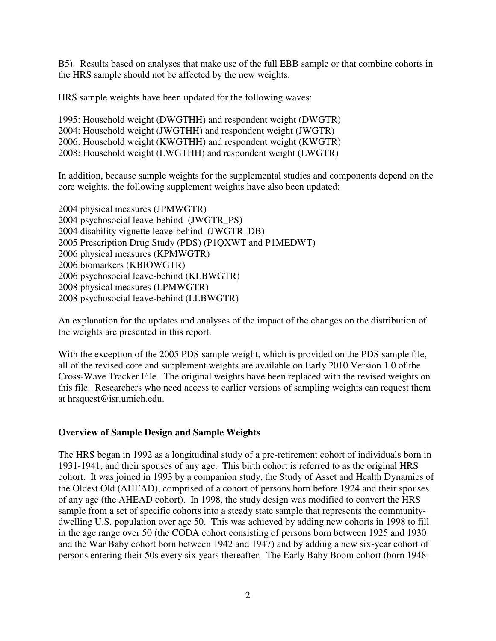B5). Results based on analyses that make use of the full EBB sample or that combine cohorts in the HRS sample should not be affected by the new weights.

HRS sample weights have been updated for the following waves:

1995: Household weight (DWGTHH) and respondent weight (DWGTR) 2004: Household weight (JWGTHH) and respondent weight (JWGTR) 2006: Household weight (KWGTHH) and respondent weight (KWGTR) 2008: Household weight (LWGTHH) and respondent weight (LWGTR)

In addition, because sample weights for the supplemental studies and components depend on the core weights, the following supplement weights have also been updated:

2004 physical measures (JPMWGTR) 2004 psychosocial leave-behind (JWGTR\_PS) 2004 disability vignette leave-behind (JWGTR\_DB) 2005 Prescription Drug Study (PDS) (P1QXWT and P1MEDWT) 2006 physical measures (KPMWGTR) 2006 biomarkers (KBIOWGTR) 2006 psychosocial leave-behind (KLBWGTR) 2008 physical measures (LPMWGTR) 2008 psychosocial leave-behind (LLBWGTR)

An explanation for the updates and analyses of the impact of the changes on the distribution of the weights are presented in this report.

With the exception of the 2005 PDS sample weight, which is provided on the PDS sample file, all of the revised core and supplement weights are available on Early 2010 Version 1.0 of the Cross-Wave Tracker File. The original weights have been replaced with the revised weights on this file. Researchers who need access to earlier versions of sampling weights can request them at hrsquest@isr.umich.edu.

## **Overview of Sample Design and Sample Weights**

The HRS began in 1992 as a longitudinal study of a pre-retirement cohort of individuals born in 1931-1941, and their spouses of any age. This birth cohort is referred to as the original HRS cohort. It was joined in 1993 by a companion study, the Study of Asset and Health Dynamics of the Oldest Old (AHEAD), comprised of a cohort of persons born before 1924 and their spouses of any age (the AHEAD cohort). In 1998, the study design was modified to convert the HRS sample from a set of specific cohorts into a steady state sample that represents the communitydwelling U.S. population over age 50. This was achieved by adding new cohorts in 1998 to fill in the age range over 50 (the CODA cohort consisting of persons born between 1925 and 1930 and the War Baby cohort born between 1942 and 1947) and by adding a new six-year cohort of persons entering their 50s every six years thereafter. The Early Baby Boom cohort (born 1948-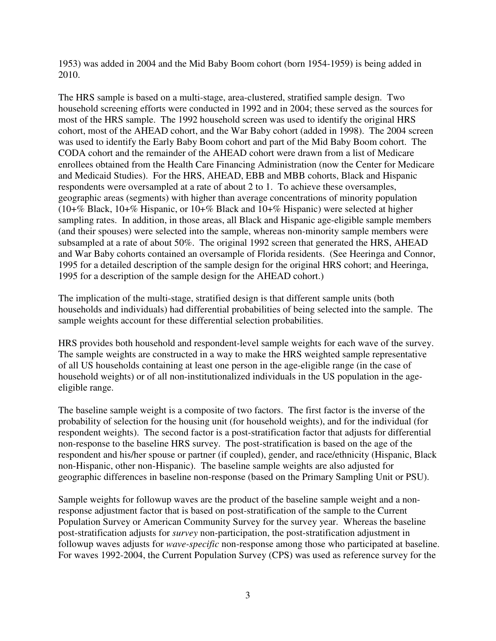1953) was added in 2004 and the Mid Baby Boom cohort (born 1954-1959) is being added in 2010.

The HRS sample is based on a multi-stage, area-clustered, stratified sample design. Two household screening efforts were conducted in 1992 and in 2004; these served as the sources for most of the HRS sample. The 1992 household screen was used to identify the original HRS cohort, most of the AHEAD cohort, and the War Baby cohort (added in 1998). The 2004 screen was used to identify the Early Baby Boom cohort and part of the Mid Baby Boom cohort. The CODA cohort and the remainder of the AHEAD cohort were drawn from a list of Medicare enrollees obtained from the Health Care Financing Administration (now the Center for Medicare and Medicaid Studies). For the HRS, AHEAD, EBB and MBB cohorts, Black and Hispanic respondents were oversampled at a rate of about 2 to 1. To achieve these oversamples, geographic areas (segments) with higher than average concentrations of minority population (10+% Black, 10+% Hispanic, or 10+% Black and 10+% Hispanic) were selected at higher sampling rates. In addition, in those areas, all Black and Hispanic age-eligible sample members (and their spouses) were selected into the sample, whereas non-minority sample members were subsampled at a rate of about 50%. The original 1992 screen that generated the HRS, AHEAD and War Baby cohorts contained an oversample of Florida residents. (See Heeringa and Connor, 1995 for a detailed description of the sample design for the original HRS cohort; and Heeringa, 1995 for a description of the sample design for the AHEAD cohort.)

The implication of the multi-stage, stratified design is that different sample units (both households and individuals) had differential probabilities of being selected into the sample. The sample weights account for these differential selection probabilities.

HRS provides both household and respondent-level sample weights for each wave of the survey. The sample weights are constructed in a way to make the HRS weighted sample representative of all US households containing at least one person in the age-eligible range (in the case of household weights) or of all non-institutionalized individuals in the US population in the ageeligible range.

The baseline sample weight is a composite of two factors. The first factor is the inverse of the probability of selection for the housing unit (for household weights), and for the individual (for respondent weights). The second factor is a post-stratification factor that adjusts for differential non-response to the baseline HRS survey. The post-stratification is based on the age of the respondent and his/her spouse or partner (if coupled), gender, and race/ethnicity (Hispanic, Black non-Hispanic, other non-Hispanic). The baseline sample weights are also adjusted for geographic differences in baseline non-response (based on the Primary Sampling Unit or PSU).

Sample weights for followup waves are the product of the baseline sample weight and a nonresponse adjustment factor that is based on post-stratification of the sample to the Current Population Survey or American Community Survey for the survey year. Whereas the baseline post-stratification adjusts for *survey* non-participation, the post-stratification adjustment in followup waves adjusts for *wave-specific* non-response among those who participated at baseline. For waves 1992-2004, the Current Population Survey (CPS) was used as reference survey for the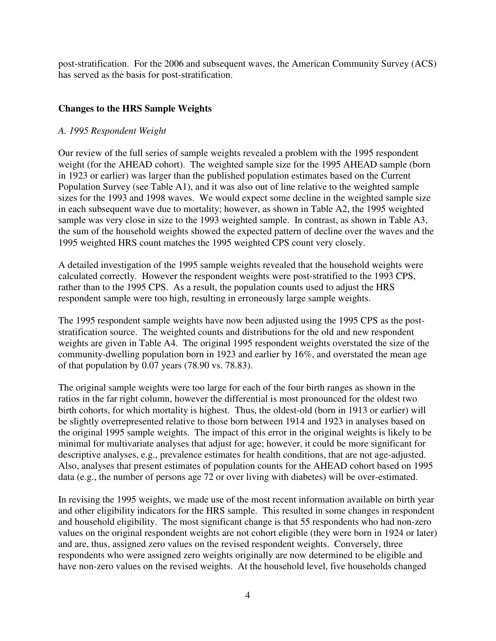post-stratification. For the 2006 and subsequent waves, the American Community Survey (ACS) has served as the basis for post-stratification.

# **Changes to the HRS Sample Weights**

## *A. 1995 Respondent Weight*

Our review of the full series of sample weights revealed a problem with the 1995 respondent weight (for the AHEAD cohort). The weighted sample size for the 1995 AHEAD sample (born in 1923 or earlier) was larger than the published population estimates based on the Current Population Survey (see Table A1), and it was also out of line relative to the weighted sample sizes for the 1993 and 1998 waves. We would expect some decline in the weighted sample size in each subsequent wave due to mortality; however, as shown in Table A2, the 1995 weighted sample was very close in size to the 1993 weighted sample. In contrast, as shown in Table A3, the sum of the household weights showed the expected pattern of decline over the waves and the 1995 weighted HRS count matches the 1995 weighted CPS count very closely.

A detailed investigation of the 1995 sample weights revealed that the household weights were calculated correctly. However the respondent weights were post-stratified to the 1993 CPS, rather than to the 1995 CPS. As a result, the population counts used to adjust the HRS respondent sample were too high, resulting in erroneously large sample weights.

The 1995 respondent sample weights have now been adjusted using the 1995 CPS as the poststratification source. The weighted counts and distributions for the old and new respondent weights are given in Table A4. The original 1995 respondent weights overstated the size of the community-dwelling population born in 1923 and earlier by 16%, and overstated the mean age of that population by 0.07 years (78.90 vs. 78.83).

The original sample weights were too large for each of the four birth ranges as shown in the ratios in the far right column, however the differential is most pronounced for the oldest two birth cohorts, for which mortality is highest. Thus, the oldest-old (born in 1913 or earlier) will be slightly overrepresented relative to those born between 1914 and 1923 in analyses based on the original 1995 sample weights. The impact of this error in the original weights is likely to be minimal for multivariate analyses that adjust for age; however, it could be more significant for descriptive analyses, e.g., prevalence estimates for health conditions, that are not age-adjusted. Also, analyses that present estimates of population counts for the AHEAD cohort based on 1995 data (e.g., the number of persons age 72 or over living with diabetes) will be over-estimated.

In revising the 1995 weights, we made use of the most recent information available on birth year and other eligibility indicators for the HRS sample. This resulted in some changes in respondent and household eligibility. The most significant change is that 55 respondents who had non-zero values on the original respondent weights are not cohort eligible (they were born in 1924 or later) and are, thus, assigned zero values on the revised respondent weights. Conversely, three respondents who were assigned zero weights originally are now determined to be eligible and have non-zero values on the revised weights. At the household level, five households changed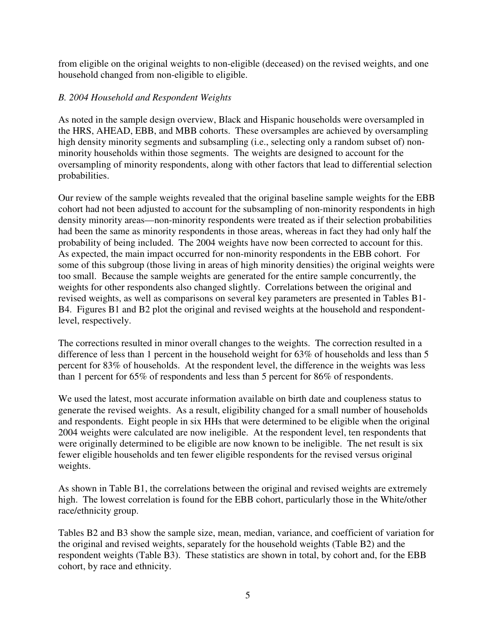from eligible on the original weights to non-eligible (deceased) on the revised weights, and one household changed from non-eligible to eligible.

## *B. 2004 Household and Respondent Weights*

As noted in the sample design overview, Black and Hispanic households were oversampled in the HRS, AHEAD, EBB, and MBB cohorts. These oversamples are achieved by oversampling high density minority segments and subsampling (i.e., selecting only a random subset of) nonminority households within those segments. The weights are designed to account for the oversampling of minority respondents, along with other factors that lead to differential selection probabilities.

Our review of the sample weights revealed that the original baseline sample weights for the EBB cohort had not been adjusted to account for the subsampling of non-minority respondents in high density minority areas—non-minority respondents were treated as if their selection probabilities had been the same as minority respondents in those areas, whereas in fact they had only half the probability of being included. The 2004 weights have now been corrected to account for this. As expected, the main impact occurred for non-minority respondents in the EBB cohort. For some of this subgroup (those living in areas of high minority densities) the original weights were too small. Because the sample weights are generated for the entire sample concurrently, the weights for other respondents also changed slightly. Correlations between the original and revised weights, as well as comparisons on several key parameters are presented in Tables B1- B4. Figures B1 and B2 plot the original and revised weights at the household and respondentlevel, respectively.

The corrections resulted in minor overall changes to the weights. The correction resulted in a difference of less than 1 percent in the household weight for 63% of households and less than 5 percent for 83% of households. At the respondent level, the difference in the weights was less than 1 percent for 65% of respondents and less than 5 percent for 86% of respondents.

We used the latest, most accurate information available on birth date and coupleness status to generate the revised weights. As a result, eligibility changed for a small number of households and respondents. Eight people in six HHs that were determined to be eligible when the original 2004 weights were calculated are now ineligible. At the respondent level, ten respondents that were originally determined to be eligible are now known to be ineligible. The net result is six fewer eligible households and ten fewer eligible respondents for the revised versus original weights.

As shown in Table B1, the correlations between the original and revised weights are extremely high. The lowest correlation is found for the EBB cohort, particularly those in the White/other race/ethnicity group.

Tables B2 and B3 show the sample size, mean, median, variance, and coefficient of variation for the original and revised weights, separately for the household weights (Table B2) and the respondent weights (Table B3). These statistics are shown in total, by cohort and, for the EBB cohort, by race and ethnicity.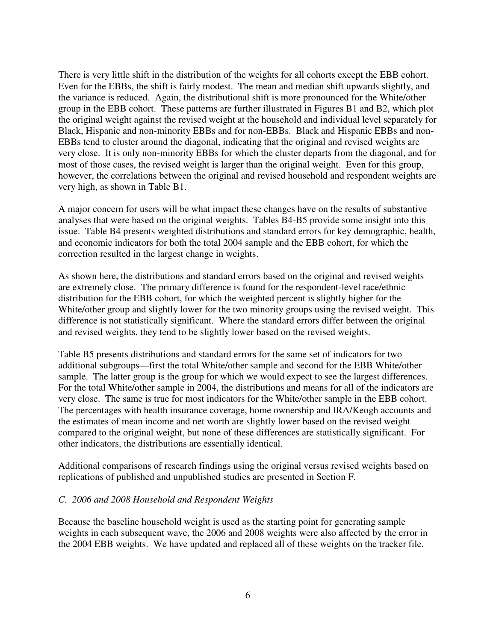There is very little shift in the distribution of the weights for all cohorts except the EBB cohort. Even for the EBBs, the shift is fairly modest. The mean and median shift upwards slightly, and the variance is reduced. Again, the distributional shift is more pronounced for the White/other group in the EBB cohort. These patterns are further illustrated in Figures B1 and B2, which plot the original weight against the revised weight at the household and individual level separately for Black, Hispanic and non-minority EBBs and for non-EBBs. Black and Hispanic EBBs and non-EBBs tend to cluster around the diagonal, indicating that the original and revised weights are very close. It is only non-minority EBBs for which the cluster departs from the diagonal, and for most of those cases, the revised weight is larger than the original weight. Even for this group, however, the correlations between the original and revised household and respondent weights are very high, as shown in Table B1.

A major concern for users will be what impact these changes have on the results of substantive analyses that were based on the original weights. Tables B4-B5 provide some insight into this issue. Table B4 presents weighted distributions and standard errors for key demographic, health, and economic indicators for both the total 2004 sample and the EBB cohort, for which the correction resulted in the largest change in weights.

As shown here, the distributions and standard errors based on the original and revised weights are extremely close. The primary difference is found for the respondent-level race/ethnic distribution for the EBB cohort, for which the weighted percent is slightly higher for the White/other group and slightly lower for the two minority groups using the revised weight. This difference is not statistically significant. Where the standard errors differ between the original and revised weights, they tend to be slightly lower based on the revised weights.

Table B5 presents distributions and standard errors for the same set of indicators for two additional subgroups—first the total White/other sample and second for the EBB White/other sample. The latter group is the group for which we would expect to see the largest differences. For the total White/other sample in 2004, the distributions and means for all of the indicators are very close. The same is true for most indicators for the White/other sample in the EBB cohort. The percentages with health insurance coverage, home ownership and IRA/Keogh accounts and the estimates of mean income and net worth are slightly lower based on the revised weight compared to the original weight, but none of these differences are statistically significant. For other indicators, the distributions are essentially identical.

Additional comparisons of research findings using the original versus revised weights based on replications of published and unpublished studies are presented in Section F.

### *C. 2006 and 2008 Household and Respondent Weights*

Because the baseline household weight is used as the starting point for generating sample weights in each subsequent wave, the 2006 and 2008 weights were also affected by the error in the 2004 EBB weights. We have updated and replaced all of these weights on the tracker file.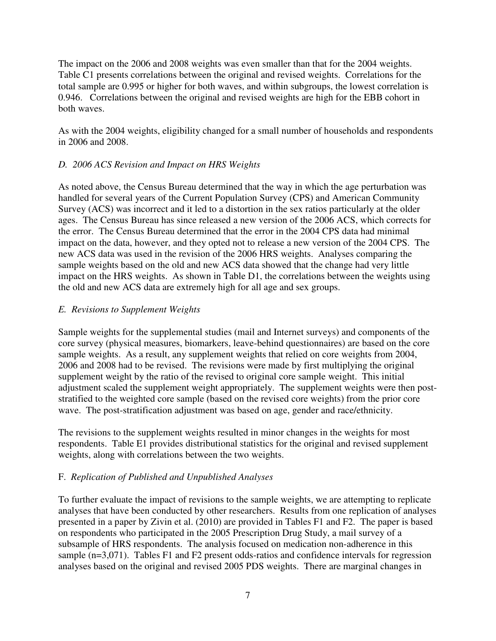The impact on the 2006 and 2008 weights was even smaller than that for the 2004 weights. Table C1 presents correlations between the original and revised weights. Correlations for the total sample are 0.995 or higher for both waves, and within subgroups, the lowest correlation is 0.946. Correlations between the original and revised weights are high for the EBB cohort in both waves.

As with the 2004 weights, eligibility changed for a small number of households and respondents in 2006 and 2008.

## *D. 2006 ACS Revision and Impact on HRS Weights*

As noted above, the Census Bureau determined that the way in which the age perturbation was handled for several years of the Current Population Survey (CPS) and American Community Survey (ACS) was incorrect and it led to a distortion in the sex ratios particularly at the older ages. The Census Bureau has since released a new version of the 2006 ACS, which corrects for the error. The Census Bureau determined that the error in the 2004 CPS data had minimal impact on the data, however, and they opted not to release a new version of the 2004 CPS. The new ACS data was used in the revision of the 2006 HRS weights. Analyses comparing the sample weights based on the old and new ACS data showed that the change had very little impact on the HRS weights. As shown in Table D1, the correlations between the weights using the old and new ACS data are extremely high for all age and sex groups.

## *E. Revisions to Supplement Weights*

Sample weights for the supplemental studies (mail and Internet surveys) and components of the core survey (physical measures, biomarkers, leave-behind questionnaires) are based on the core sample weights. As a result, any supplement weights that relied on core weights from 2004, 2006 and 2008 had to be revised. The revisions were made by first multiplying the original supplement weight by the ratio of the revised to original core sample weight. This initial adjustment scaled the supplement weight appropriately. The supplement weights were then poststratified to the weighted core sample (based on the revised core weights) from the prior core wave. The post-stratification adjustment was based on age, gender and race/ethnicity.

The revisions to the supplement weights resulted in minor changes in the weights for most respondents. Table E1 provides distributional statistics for the original and revised supplement weights, along with correlations between the two weights.

## F. *Replication of Published and Unpublished Analyses*

To further evaluate the impact of revisions to the sample weights, we are attempting to replicate analyses that have been conducted by other researchers. Results from one replication of analyses presented in a paper by Zivin et al. (2010) are provided in Tables F1 and F2. The paper is based on respondents who participated in the 2005 Prescription Drug Study, a mail survey of a subsample of HRS respondents. The analysis focused on medication non-adherence in this sample (n=3,071). Tables F1 and F2 present odds-ratios and confidence intervals for regression analyses based on the original and revised 2005 PDS weights. There are marginal changes in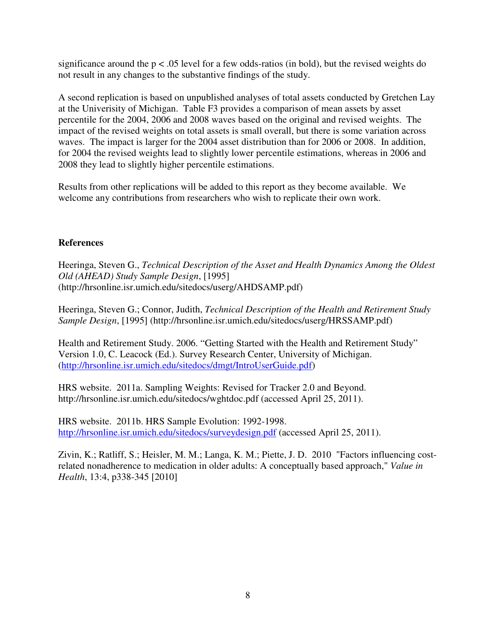significance around the  $p < .05$  level for a few odds-ratios (in bold), but the revised weights do not result in any changes to the substantive findings of the study.

A second replication is based on unpublished analyses of total assets conducted by Gretchen Lay at the Univerisity of Michigan. Table F3 provides a comparison of mean assets by asset percentile for the 2004, 2006 and 2008 waves based on the original and revised weights. The impact of the revised weights on total assets is small overall, but there is some variation across waves. The impact is larger for the 2004 asset distribution than for 2006 or 2008. In addition, for 2004 the revised weights lead to slightly lower percentile estimations, whereas in 2006 and 2008 they lead to slightly higher percentile estimations.

Results from other replications will be added to this report as they become available. We welcome any contributions from researchers who wish to replicate their own work.

## **References**

Heeringa, Steven G., *Technical Description of the Asset and Health Dynamics Among the Oldest Old (AHEAD) Study Sample Design*, [1995] (http://hrsonline.isr.umich.edu/sitedocs/userg/AHDSAMP.pdf)

Heeringa, Steven G.; Connor, Judith, *Technical Description of the Health and Retirement Study Sample Design*, [1995] (http://hrsonline.isr.umich.edu/sitedocs/userg/HRSSAMP.pdf)

Health and Retirement Study. 2006. "Getting Started with the Health and Retirement Study" Version 1.0, C. Leacock (Ed.). Survey Research Center, University of Michigan. (http://hrsonline.isr.umich.edu/sitedocs/dmgt/IntroUserGuide.pdf)

HRS website. 2011a. Sampling Weights: Revised for Tracker 2.0 and Beyond. http://hrsonline.isr.umich.edu/sitedocs/wghtdoc.pdf (accessed April 25, 2011).

HRS website. 2011b. HRS Sample Evolution: 1992-1998. http://hrsonline.isr.umich.edu/sitedocs/surveydesign.pdf (accessed April 25, 2011).

Zivin, K.; Ratliff, S.; Heisler, M. M.; Langa, K. M.; Piette, J. D. 2010 "Factors influencing costrelated nonadherence to medication in older adults: A conceptually based approach," *Value in Health*, 13:4, p338-345 [2010]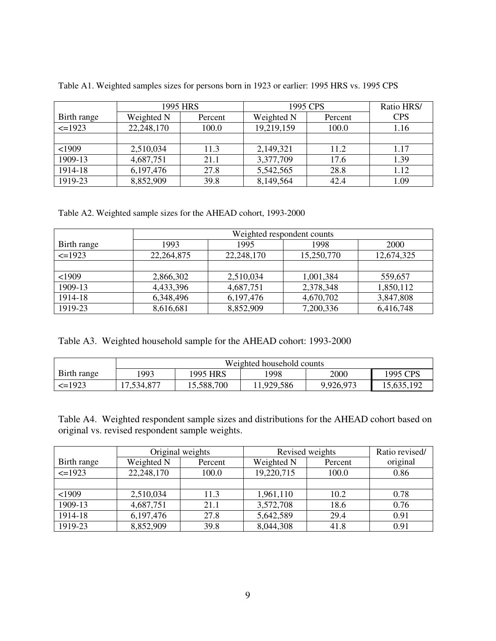|              | 1995 HRS   |         | 1995 CPS   | Ratio HRS/ |            |
|--------------|------------|---------|------------|------------|------------|
| Birth range  | Weighted N | Percent | Weighted N | Percent    | <b>CPS</b> |
| $\leq$ =1923 | 22,248,170 | 100.0   | 19,219,159 | 100.0      | 1.16       |
|              |            |         |            |            |            |
| $<$ 1909     | 2,510,034  | 11.3    | 2,149,321  | 11.2       | 1.17       |
| 1909-13      | 4,687,751  | 21.1    | 3,377,709  | 17.6       | 1.39       |
| 1914-18      | 6,197,476  | 27.8    | 5,542,565  | 28.8       | 1.12       |
| 1919-23      | 8,852,909  | 39.8    | 8,149,564  | 42.4       | 1.09       |

Table A1. Weighted samples sizes for persons born in 1923 or earlier: 1995 HRS vs. 1995 CPS

Table A2. Weighted sample sizes for the AHEAD cohort, 1993-2000

|              | Weighted respondent counts |            |            |             |  |  |  |
|--------------|----------------------------|------------|------------|-------------|--|--|--|
| Birth range  | 1993                       | 1995       | 1998       | <b>2000</b> |  |  |  |
| $\leq$ =1923 | 22, 264, 875               | 22,248,170 | 15,250,770 | 12,674,325  |  |  |  |
|              |                            |            |            |             |  |  |  |
| $<$ 1909     | 2,866,302                  | 2,510,034  | 1,001,384  | 559,657     |  |  |  |
| 1909-13      | 4,433,396                  | 4,687,751  | 2,378,348  | 1,850,112   |  |  |  |
| 1914-18      | 6,348,496                  | 6,197,476  | 4,670,702  | 3,847,808   |  |  |  |
| 1919-23      | 8,616,681                  | 8,852,909  | 7,200,336  | 6,416,748   |  |  |  |

| Table A3. Weighted household sample for the AHEAD cohort: 1993-2000 |  |  |  |  |
|---------------------------------------------------------------------|--|--|--|--|
|---------------------------------------------------------------------|--|--|--|--|

|              | Weighted household counts |            |           |           |            |  |  |  |
|--------------|---------------------------|------------|-----------|-----------|------------|--|--|--|
| Birth range  | 1993                      | 1995 HRS   | 1998      | 2000      | 1995 CPS   |  |  |  |
| $\leq$ =1923 | 17,534,877                | 15,588,700 | 1,929,586 | 9,926,973 | 15,635,192 |  |  |  |

Table A4. Weighted respondent sample sizes and distributions for the AHEAD cohort based on original vs. revised respondent sample weights.

|             | Original weights |         | Revised weights | Ratio revised/ |          |
|-------------|------------------|---------|-----------------|----------------|----------|
| Birth range | Weighted N       | Percent | Weighted N      | Percent        | original |
| $\leq$ 1923 | 22,248,170       | 100.0   | 19,220,715      | 100.0          | 0.86     |
|             |                  |         |                 |                |          |
| $<$ 1909    | 2,510,034        | 11.3    | 1,961,110       | 10.2           | 0.78     |
| 1909-13     | 4,687,751        | 21.1    | 3,572,708       | 18.6           | 0.76     |
| 1914-18     | 6,197,476        | 27.8    | 5,642,589       | 29.4           | 0.91     |
| 1919-23     | 8,852,909        | 39.8    | 8,044,308       | 41.8           | 0.91     |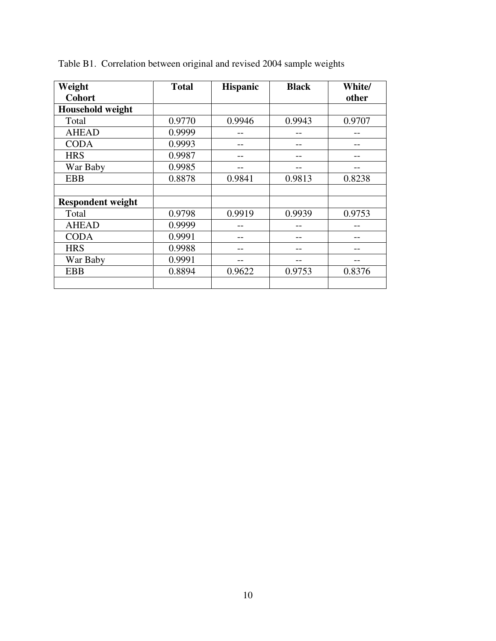| Weight                   | <b>Total</b> | <b>Hispanic</b> | <b>Black</b> | White/ |
|--------------------------|--------------|-----------------|--------------|--------|
| <b>Cohort</b>            |              |                 |              | other  |
| Household weight         |              |                 |              |        |
| Total                    | 0.9770       | 0.9946          | 0.9943       | 0.9707 |
| <b>AHEAD</b>             | 0.9999       |                 |              |        |
| <b>CODA</b>              | 0.9993       |                 |              |        |
| <b>HRS</b>               | 0.9987       |                 |              |        |
| War Baby                 | 0.9985       |                 |              |        |
| <b>EBB</b>               | 0.8878       | 0.9841          | 0.9813       | 0.8238 |
|                          |              |                 |              |        |
| <b>Respondent weight</b> |              |                 |              |        |
| Total                    | 0.9798       | 0.9919          | 0.9939       | 0.9753 |
| <b>AHEAD</b>             | 0.9999       |                 |              |        |
| <b>CODA</b>              | 0.9991       |                 |              |        |
| <b>HRS</b>               | 0.9988       |                 |              |        |
| War Baby                 | 0.9991       |                 |              |        |
| <b>EBB</b>               | 0.8894       | 0.9622          | 0.9753       | 0.8376 |
|                          |              |                 |              |        |

Table B1. Correlation between original and revised 2004 sample weights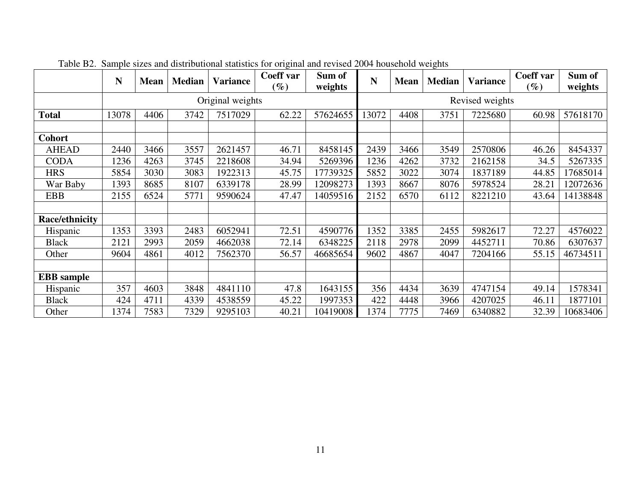|                       | N     | <b>Mean</b> | <b>Median</b> | <b>Variance</b>  | Coeff var<br>$(\%)$ | Sum of<br>weights | N     | <b>Mean</b> | <b>Median</b> | <b>Variance</b> | Coeff var<br>$(\%)$ | Sum of<br>weights |
|-----------------------|-------|-------------|---------------|------------------|---------------------|-------------------|-------|-------------|---------------|-----------------|---------------------|-------------------|
|                       |       |             |               | Original weights |                     |                   |       |             |               | Revised weights |                     |                   |
| <b>Total</b>          | 13078 | 4406        | 3742          | 7517029          | 62.22               | 57624655          | 13072 | 4408        | 3751          | 7225680         | 60.98               | 57618170          |
|                       |       |             |               |                  |                     |                   |       |             |               |                 |                     |                   |
| <b>Cohort</b>         |       |             |               |                  |                     |                   |       |             |               |                 |                     |                   |
| <b>AHEAD</b>          | 2440  | 3466        | 3557          | 2621457          | 46.71               | 8458145           | 2439  | 3466        | 3549          | 2570806         | 46.26               | 8454337           |
| <b>CODA</b>           | 1236  | 4263        | 3745          | 2218608          | 34.94               | 5269396           | 1236  | 4262        | 3732          | 2162158         | 34.5                | 5267335           |
| <b>HRS</b>            | 5854  | 3030        | 3083          | 1922313          | 45.75               | 17739325          | 5852  | 3022        | 3074          | 1837189         | 44.85               | 17685014          |
| War Baby              | 1393  | 8685        | 8107          | 6339178          | 28.99               | 12098273          | 1393  | 8667        | 8076          | 5978524         | 28.21               | 12072636          |
| <b>EBB</b>            | 2155  | 6524        | 5771          | 9590624          | 47.47               | 14059516          | 2152  | 6570        | 6112          | 8221210         | 43.64               | 14138848          |
|                       |       |             |               |                  |                     |                   |       |             |               |                 |                     |                   |
| <b>Race/ethnicity</b> |       |             |               |                  |                     |                   |       |             |               |                 |                     |                   |
| Hispanic              | 1353  | 3393        | 2483          | 6052941          | 72.51               | 4590776           | 1352  | 3385        | 2455          | 5982617         | 72.27               | 4576022           |
| <b>Black</b>          | 2121  | 2993        | 2059          | 4662038          | 72.14               | 6348225           | 2118  | 2978        | 2099          | 4452711         | 70.86               | 6307637           |
| Other                 | 9604  | 4861        | 4012          | 7562370          | 56.57               | 46685654          | 9602  | 4867        | 4047          | 7204166         | 55.15               | 46734511          |
|                       |       |             |               |                  |                     |                   |       |             |               |                 |                     |                   |
| <b>EBB</b> sample     |       |             |               |                  |                     |                   |       |             |               |                 |                     |                   |
| Hispanic              | 357   | 4603        | 3848          | 4841110          | 47.8                | 1643155           | 356   | 4434        | 3639          | 4747154         | 49.14               | 1578341           |
| <b>Black</b>          | 424   | 4711        | 4339          | 4538559          | 45.22               | 1997353           | 422   | 4448        | 3966          | 4207025         | 46.11               | 1877101           |
| Other                 | 1374  | 7583        | 7329          | 9295103          | 40.21               | 10419008          | 1374  | 7775        | 7469          | 6340882         | 32.39               | 10683406          |

Table B2. Sample sizes and distributional statistics for original and revised 2004 household weights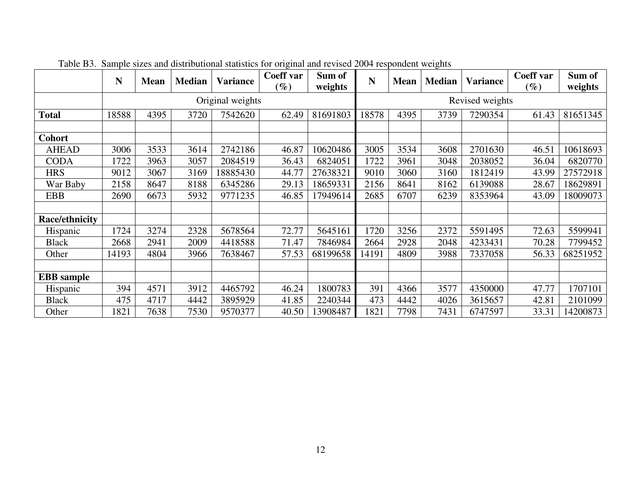|                   | N     | <b>Mean</b> | <b>Median</b> | <b>Variance</b>  | Coeff var<br>$\mathscr{G}_o$ | Sum of<br>weights | N     | <b>Mean</b> | <b>Median</b> | <b>Variance</b> | Coeff var<br>$\left(\%\right)$ | Sum of<br>weights |
|-------------------|-------|-------------|---------------|------------------|------------------------------|-------------------|-------|-------------|---------------|-----------------|--------------------------------|-------------------|
|                   |       |             |               | Original weights |                              |                   |       |             |               | Revised weights |                                |                   |
| <b>Total</b>      | 18588 | 4395        | 3720          | 7542620          | 62.49                        | 81691803          | 18578 | 4395        | 3739          | 7290354         | 61.43                          | 81651345          |
|                   |       |             |               |                  |                              |                   |       |             |               |                 |                                |                   |
| <b>Cohort</b>     |       |             |               |                  |                              |                   |       |             |               |                 |                                |                   |
| <b>AHEAD</b>      | 3006  | 3533        | 3614          | 2742186          | 46.87                        | 10620486          | 3005  | 3534        | 3608          | 2701630         | 46.51                          | 10618693          |
| <b>CODA</b>       | 1722  | 3963        | 3057          | 2084519          | 36.43                        | 6824051           | 1722  | 3961        | 3048          | 2038052         | 36.04                          | 6820770           |
| <b>HRS</b>        | 9012  | 3067        | 3169          | 18885430         | 44.77                        | 27638321          | 9010  | 3060        | 3160          | 1812419         | 43.99                          | 27572918          |
| War Baby          | 2158  | 8647        | 8188          | 6345286          | 29.13                        | 18659331          | 2156  | 8641        | 8162          | 6139088         | 28.67                          | 18629891          |
| <b>EBB</b>        | 2690  | 6673        | 5932          | 9771235          | 46.85                        | 17949614          | 2685  | 6707        | 6239          | 8353964         | 43.09                          | 18009073          |
|                   |       |             |               |                  |                              |                   |       |             |               |                 |                                |                   |
| Race/ethnicity    |       |             |               |                  |                              |                   |       |             |               |                 |                                |                   |
| Hispanic          | 1724  | 3274        | 2328          | 5678564          | 72.77                        | 5645161           | 1720  | 3256        | 2372          | 5591495         | 72.63                          | 5599941           |
| <b>Black</b>      | 2668  | 2941        | 2009          | 4418588          | 71.47                        | 7846984           | 2664  | 2928        | 2048          | 4233431         | 70.28                          | 7799452           |
| Other             | 14193 | 4804        | 3966          | 7638467          | 57.53                        | 68199658          | 14191 | 4809        | 3988          | 7337058         | 56.33                          | 68251952          |
|                   |       |             |               |                  |                              |                   |       |             |               |                 |                                |                   |
| <b>EBB</b> sample |       |             |               |                  |                              |                   |       |             |               |                 |                                |                   |
| Hispanic          | 394   | 4571        | 3912          | 4465792          | 46.24                        | 1800783           | 391   | 4366        | 3577          | 4350000         | 47.77                          | 1707101           |
| <b>Black</b>      | 475   | 4717        | 4442          | 3895929          | 41.85                        | 2240344           | 473   | 4442        | 4026          | 3615657         | 42.81                          | 2101099           |
| Other             | 1821  | 7638        | 7530          | 9570377          | 40.50                        | 13908487          | 1821  | 7798        | 7431          | 6747597         | 33.31                          | 14200873          |

Table B3. Sample sizes and distributional statistics for original and revised 2004 respondent weights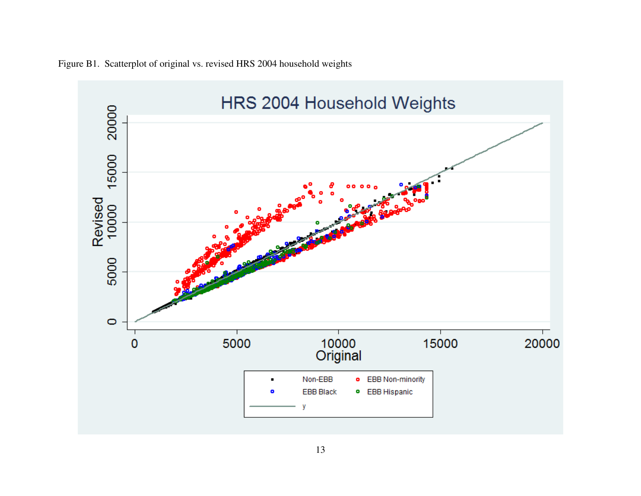

Figure B1. Scatterplot of original vs. revised HRS 2004 household weights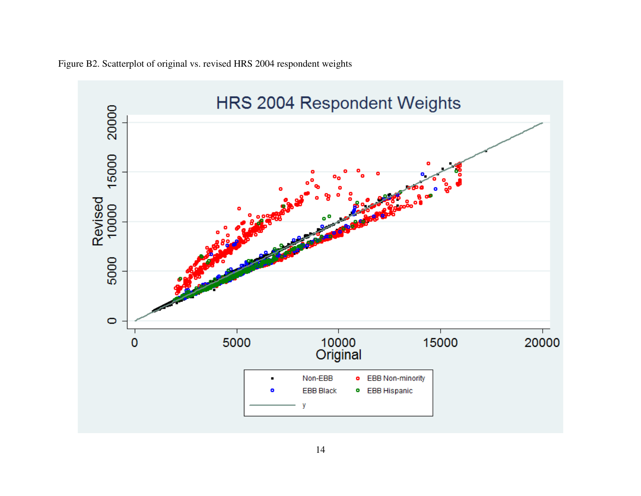

Figure B2. Scatterplot of original vs. revised HRS 2004 respondent weights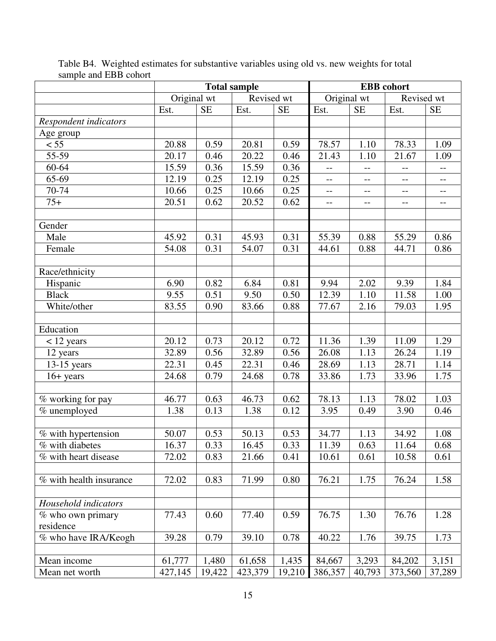|                         | <b>Total sample</b> |           |            | <b>EBB</b> cohort |                          |           |                          |                          |
|-------------------------|---------------------|-----------|------------|-------------------|--------------------------|-----------|--------------------------|--------------------------|
|                         | Original wt         |           | Revised wt |                   | Original wt              |           | Revised wt               |                          |
|                         | Est.                | <b>SE</b> | Est.       | <b>SE</b>         | Est.                     | <b>SE</b> | Est.                     | <b>SE</b>                |
| Respondent indicators   |                     |           |            |                   |                          |           |                          |                          |
| Age group               |                     |           |            |                   |                          |           |                          |                          |
| < 55                    | 20.88               | 0.59      | 20.81      | 0.59              | 78.57                    | 1.10      | 78.33                    | 1.09                     |
| 55-59                   | 20.17               | 0.46      | 20.22      | 0.46              | 21.43                    | 1.10      | 21.67                    | 1.09                     |
| 60-64                   | 15.59               | 0.36      | 15.59      | 0.36              | $\overline{\phantom{a}}$ | --        | $\overline{\phantom{a}}$ | $\overline{\phantom{a}}$ |
| 65-69                   | 12.19               | 0.25      | 12.19      | 0.25              | $\overline{a}$           | --        | $-$                      | $-$                      |
| 70-74                   | 10.66               | 0.25      | 10.66      | 0.25              | $-$                      | $-$       | $-$                      | $-$                      |
| $75+$                   | 20.51               | 0.62      | 20.52      | 0.62              | $\overline{\phantom{m}}$ | $-$       | $-$                      | $-$                      |
|                         |                     |           |            |                   |                          |           |                          |                          |
| Gender                  |                     |           |            |                   |                          |           |                          |                          |
| Male                    | 45.92               | 0.31      | 45.93      | 0.31              | 55.39                    | 0.88      | 55.29                    | 0.86                     |
| Female                  | 54.08               | 0.31      | 54.07      | 0.31              | 44.61                    | 0.88      | 44.71                    | 0.86                     |
|                         |                     |           |            |                   |                          |           |                          |                          |
| Race/ethnicity          |                     |           |            |                   |                          |           |                          |                          |
| Hispanic                | 6.90                | 0.82      | 6.84       | 0.81              | 9.94                     | 2.02      | $\overline{9.39}$        | 1.84                     |
| <b>Black</b>            | 9.55                | 0.51      | 9.50       | 0.50              | 12.39                    | 1.10      | 11.58                    | 1.00                     |
| White/other             | 83.55               | 0.90      | 83.66      | 0.88              | 77.67                    | 2.16      | 79.03                    | 1.95                     |
|                         |                     |           |            |                   |                          |           |                          |                          |
| Education               |                     |           |            |                   |                          |           |                          |                          |
| $<$ 12 years            | 20.12               | 0.73      | 20.12      | 0.72              | 11.36                    | 1.39      | 11.09                    | 1.29                     |
| 12 years                | 32.89               | 0.56      | 32.89      | 0.56              | 26.08                    | 1.13      | 26.24                    | 1.19                     |
| $13-15$ years           | 22.31               | 0.45      | 22.31      | 0.46              | 28.69                    | 1.13      | 28.71                    | 1.14                     |
| $16 + years$            | 24.68               | 0.79      | 24.68      | 0.78              | 33.86                    | 1.73      | 33.96                    | 1.75                     |
|                         |                     |           |            |                   |                          |           |                          |                          |
| % working for pay       | 46.77               | 0.63      | 46.73      | 0.62              | 78.13                    | 1.13      | 78.02                    | 1.03                     |
| % unemployed            | 1.38                | 0.13      | 1.38       | 0.12              | 3.95                     | 0.49      | 3.90                     | 0.46                     |
|                         |                     |           |            |                   |                          |           |                          |                          |
| % with hypertension     | 50.07               | 0.53      | 50.13      | 0.53              | 34.77                    | 1.13      | 34.92                    | 1.08                     |
| % with diabetes         | 16.37               | 0.33      | 16.45      | 0.33              | 11.39                    | 0.63      | 11.64                    | 0.68                     |
| % with heart disease    | 72.02               | 0.83      | 21.66      | 0.41              | 10.61                    | 0.61      | 10.58                    | 0.61                     |
|                         |                     |           |            |                   |                          |           |                          |                          |
| % with health insurance | 72.02               | 0.83      | 71.99      | 0.80              | 76.21                    | 1.75      | 76.24                    | 1.58                     |
|                         |                     |           |            |                   |                          |           |                          |                          |
| Household indicators    |                     |           |            |                   |                          |           |                          |                          |
| % who own primary       | 77.43               | 0.60      | 77.40      | 0.59              | 76.75                    | 1.30      | 76.76                    | 1.28                     |
| residence               |                     |           |            |                   |                          |           |                          |                          |
| % who have IRA/Keogh    | 39.28               | 0.79      | 39.10      | 0.78              | 40.22                    | 1.76      | 39.75                    | 1.73                     |
|                         |                     |           |            |                   |                          |           |                          |                          |
| Mean income             | 61,777              | 1,480     | 61,658     | 1,435             | 84,667                   | 3,293     | 84,202                   | 3,151                    |
| Mean net worth          | 427,145             | 19,422    | 423,379    | 19,210            | 386,357                  | 40,793    | 373,560                  | 37,289                   |

Table B4. Weighted estimates for substantive variables using old vs. new weights for total sample and EBB cohort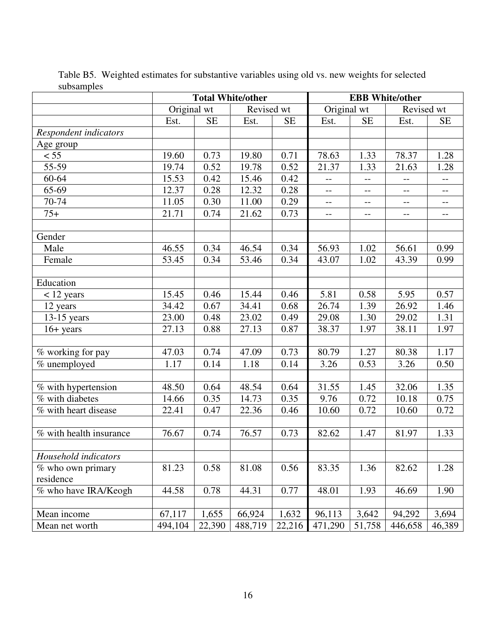|                         | <b>Total White/other</b> |                   |            | <b>EBB</b> White/other |                          |                   |                          |                          |
|-------------------------|--------------------------|-------------------|------------|------------------------|--------------------------|-------------------|--------------------------|--------------------------|
|                         | Original wt              |                   | Revised wt |                        | Original wt              |                   | Revised wt               |                          |
|                         | Est.                     | <b>SE</b>         | Est.       | <b>SE</b>              | Est.                     | <b>SE</b>         | Est.                     | <b>SE</b>                |
| Respondent indicators   |                          |                   |            |                        |                          |                   |                          |                          |
| Age group               |                          |                   |            |                        |                          |                   |                          |                          |
| $\overline{55}$         | 19.60                    | 0.73              | 19.80      | 0.71                   | 78.63                    | 1.33              | 78.37                    | 1.28                     |
| 55-59                   | 19.74                    | 0.52              | 19.78      | 0.52                   | 21.37                    | 1.33              | 21.63                    | 1.28                     |
| 60-64                   | 15.53                    | 0.42              | 15.46      | 0.42                   | $\overline{a}$           | $-$               | $\overline{a}$           | $\overline{\phantom{a}}$ |
| 65-69                   | 12.37                    | 0.28              | 12.32      | 0.28                   | $-$                      | $-$               | $-$                      | $\overline{\phantom{m}}$ |
| 70-74                   | 11.05                    | 0.30              | 11.00      | 0.29                   | $\overline{\phantom{a}}$ | $- -$             | $\overline{\phantom{a}}$ | $\overline{\phantom{a}}$ |
| $75+$                   | 21.71                    | 0.74              | 21.62      | 0.73                   | $\overline{\phantom{a}}$ | $\qquad \qquad -$ | $\overline{\phantom{a}}$ | $\overline{\phantom{a}}$ |
|                         |                          |                   |            |                        |                          |                   |                          |                          |
| Gender                  |                          |                   |            |                        |                          |                   |                          |                          |
| Male                    | 46.55                    | 0.34              | 46.54      | 0.34                   | 56.93                    | 1.02              | 56.61                    | 0.99                     |
| Female                  | 53.45                    | 0.34              | 53.46      | 0.34                   | 43.07                    | 1.02              | 43.39                    | 0.99                     |
|                         |                          |                   |            |                        |                          |                   |                          |                          |
| Education               |                          |                   |            |                        |                          |                   |                          |                          |
| $<$ 12 years            | 15.45                    | 0.46              | 15.44      | 0.46                   | 5.81                     | 0.58              | 5.95                     | 0.57                     |
| 12 years                | 34.42                    | 0.67              | 34.41      | 0.68                   | 26.74                    | 1.39              | 26.92                    | 1.46                     |
| 13-15 years             | 23.00                    | 0.48              | 23.02      | 0.49                   | 29.08                    | 1.30              | 29.02                    | 1.31                     |
| $16 + years$            | 27.13                    | 0.88              | 27.13      | 0.87                   | 38.37                    | 1.97              | 38.11                    | 1.97                     |
|                         |                          |                   |            |                        |                          |                   |                          |                          |
| % working for pay       | 47.03                    | $\overline{0.74}$ | 47.09      | 0.73                   | 80.79                    | 1.27              | 80.38                    | 1.17                     |
| % unemployed            | 1.17                     | 0.14              | 1.18       | 0.14                   | 3.26                     | 0.53              | 3.26                     | 0.50                     |
|                         |                          |                   |            |                        |                          |                   |                          |                          |
| % with hypertension     | 48.50                    | 0.64              | 48.54      | 0.64                   | 31.55                    | 1.45              | 32.06                    | 1.35                     |
| % with diabetes         | 14.66                    | 0.35              | 14.73      | 0.35                   | 9.76                     | 0.72              | 10.18                    | 0.75                     |
| % with heart disease    | 22.41                    | 0.47              | 22.36      | 0.46                   | 10.60                    | 0.72              | 10.60                    | 0.72                     |
|                         |                          |                   |            |                        |                          |                   |                          |                          |
| % with health insurance | 76.67                    | 0.74              | 76.57      | 0.73                   | 82.62                    | 1.47              | 81.97                    | 1.33                     |
|                         |                          |                   |            |                        |                          |                   |                          |                          |
| Household indicators    |                          |                   |            |                        |                          |                   |                          |                          |
| % who own primary       | 81.23                    | 0.58              | 81.08      | 0.56                   | 83.35                    | 1.36              | 82.62                    | 1.28                     |
| residence               |                          |                   |            |                        |                          |                   |                          |                          |
| % who have IRA/Keogh    | 44.58                    | 0.78              | 44.31      | 0.77                   | 48.01                    | 1.93              | 46.69                    | 1.90                     |
|                         |                          |                   |            |                        |                          |                   |                          |                          |
| Mean income             | 67,117                   | 1,655             | 66,924     | 1,632                  | 96,113                   | 3,642             | 94,292                   | 3,694                    |
| Mean net worth          | 494,104                  | 22,390            | 488,719    | 22,216                 | 471,290                  | 51,758            | 446,658                  | 46,389                   |

Table B5. Weighted estimates for substantive variables using old vs. new weights for selected subsamples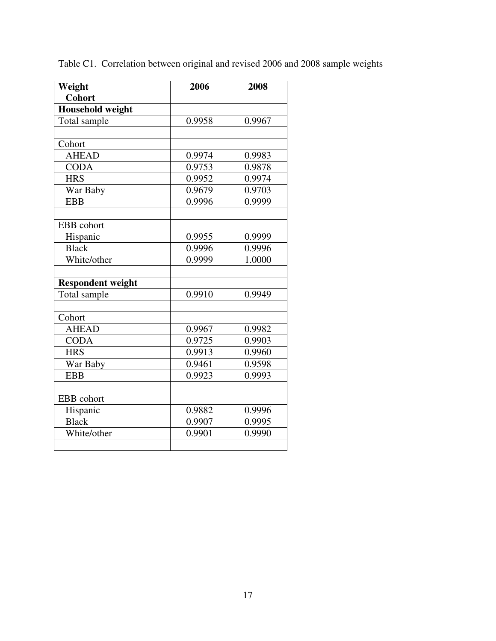| Weight                   | 2006   | 2008   |  |  |
|--------------------------|--------|--------|--|--|
| <b>Cohort</b>            |        |        |  |  |
| <b>Household weight</b>  |        |        |  |  |
| Total sample             | 0.9958 | 0.9967 |  |  |
|                          |        |        |  |  |
| Cohort                   |        |        |  |  |
| <b>AHEAD</b>             | 0.9974 | 0.9983 |  |  |
| <b>CODA</b>              | 0.9753 | 0.9878 |  |  |
| <b>HRS</b>               | 0.9952 | 0.9974 |  |  |
| War Baby                 | 0.9679 | 0.9703 |  |  |
| <b>EBB</b>               | 0.9996 | 0.9999 |  |  |
|                          |        |        |  |  |
| EBB cohort               |        |        |  |  |
| Hispanic                 | 0.9955 | 0.9999 |  |  |
| <b>Black</b>             | 0.9996 | 0.9996 |  |  |
| White/other              | 0.9999 | 1.0000 |  |  |
|                          |        |        |  |  |
| <b>Respondent weight</b> |        |        |  |  |
| Total sample             | 0.9910 | 0.9949 |  |  |
|                          |        |        |  |  |
| Cohort                   |        |        |  |  |
| <b>AHEAD</b>             | 0.9967 | 0.9982 |  |  |
| <b>CODA</b>              | 0.9725 | 0.9903 |  |  |
| <b>HRS</b>               | 0.9913 | 0.9960 |  |  |
| War Baby                 | 0.9461 | 0.9598 |  |  |
| <b>EBB</b>               | 0.9923 | 0.9993 |  |  |
|                          |        |        |  |  |
| EBB cohort               |        |        |  |  |
| Hispanic                 | 0.9882 | 0.9996 |  |  |
| <b>Black</b>             | 0.9907 | 0.9995 |  |  |
| White/other              | 0.9901 | 0.9990 |  |  |
|                          |        |        |  |  |
|                          |        |        |  |  |

Table C1. Correlation between original and revised 2006 and 2008 sample weights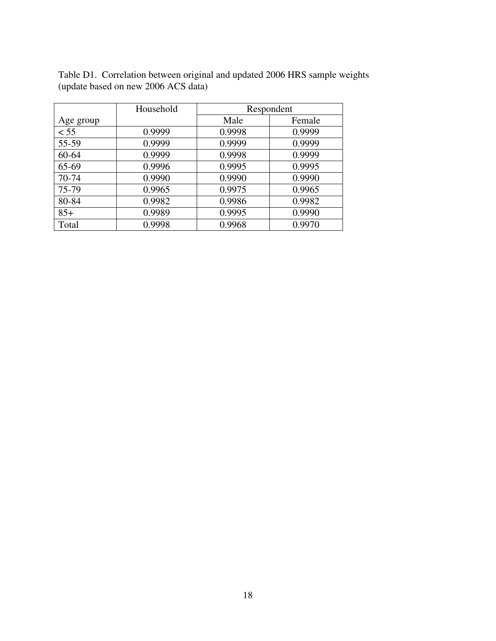|           | Household |        | Respondent |
|-----------|-----------|--------|------------|
| Age group |           | Male   | Female     |
| < 55      | 0.9999    | 0.9998 | 0.9999     |
| 55-59     | 0.9999    | 0.9999 | 0.9999     |
| 60-64     | 0.9999    | 0.9998 | 0.9999     |
| 65-69     | 0.9996    | 0.9995 | 0.9995     |
| 70-74     | 0.9990    | 0.9990 | 0.9990     |
| 75-79     | 0.9965    | 0.9975 | 0.9965     |
| 80-84     | 0.9982    | 0.9986 | 0.9982     |
| $85+$     | 0.9989    | 0.9995 | 0.9990     |
| Total     | 0.9998    | 0.9968 | 0.9970     |

Table D1. Correlation between original and updated 2006 HRS sample weights (update based on new 2006 ACS data)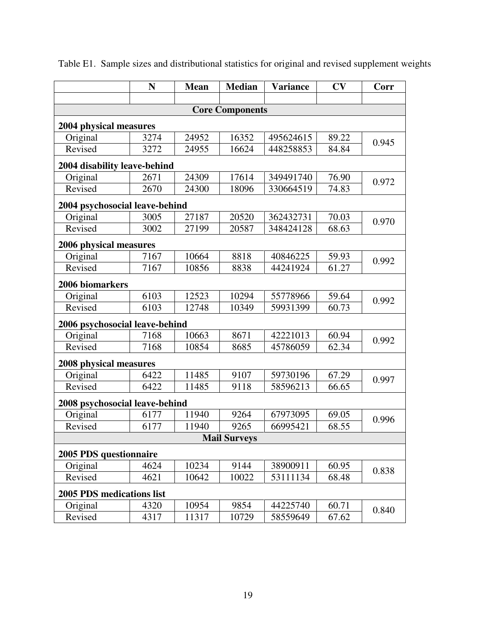|                                | N    | <b>Mean</b> | <b>Median</b>       | <b>Variance</b> | CV    | Corr  |  |  |  |  |  |
|--------------------------------|------|-------------|---------------------|-----------------|-------|-------|--|--|--|--|--|
|                                |      |             |                     |                 |       |       |  |  |  |  |  |
| <b>Core Components</b>         |      |             |                     |                 |       |       |  |  |  |  |  |
| 2004 physical measures         |      |             |                     |                 |       |       |  |  |  |  |  |
| Original                       | 3274 | 24952       | 16352               | 495624615       | 89.22 | 0.945 |  |  |  |  |  |
| Revised                        | 3272 | 24955       | 16624               | 448258853       | 84.84 |       |  |  |  |  |  |
| 2004 disability leave-behind   |      |             |                     |                 |       |       |  |  |  |  |  |
| Original                       | 2671 | 24309       | 17614               | 349491740       | 76.90 | 0.972 |  |  |  |  |  |
| Revised                        | 2670 | 24300       | 18096               | 330664519       | 74.83 |       |  |  |  |  |  |
| 2004 psychosocial leave-behind |      |             |                     |                 |       |       |  |  |  |  |  |
| Original                       | 3005 | 27187       | 20520               | 362432731       | 70.03 |       |  |  |  |  |  |
| Revised                        | 3002 | 27199       | 20587               | 348424128       | 68.63 | 0.970 |  |  |  |  |  |
| 2006 physical measures         |      |             |                     |                 |       |       |  |  |  |  |  |
| Original                       | 7167 | 10664       | 8818                | 40846225        | 59.93 |       |  |  |  |  |  |
| Revised                        | 7167 | 10856       | 8838                | 44241924        | 61.27 | 0.992 |  |  |  |  |  |
| 2006 biomarkers                |      |             |                     |                 |       |       |  |  |  |  |  |
| Original                       | 6103 | 12523       | 10294               | 55778966        | 59.64 |       |  |  |  |  |  |
| Revised                        | 6103 | 12748       | 10349               | 59931399        | 60.73 | 0.992 |  |  |  |  |  |
| 2006 psychosocial leave-behind |      |             |                     |                 |       |       |  |  |  |  |  |
| Original                       | 7168 | 10663       | 8671                | 42221013        | 60.94 |       |  |  |  |  |  |
| Revised                        | 7168 | 10854       | 8685                | 45786059        | 62.34 | 0.992 |  |  |  |  |  |
| 2008 physical measures         |      |             |                     |                 |       |       |  |  |  |  |  |
| Original                       | 6422 | 11485       | 9107                | 59730196        | 67.29 |       |  |  |  |  |  |
| Revised                        | 6422 | 11485       | 9118                | 58596213        | 66.65 | 0.997 |  |  |  |  |  |
| 2008 psychosocial leave-behind |      |             |                     |                 |       |       |  |  |  |  |  |
| Original                       | 6177 | 11940       | 9264                | 67973095        | 69.05 |       |  |  |  |  |  |
| Revised                        | 6177 | 11940       | 9265                | 66995421        | 68.55 | 0.996 |  |  |  |  |  |
|                                |      |             | <b>Mail Surveys</b> |                 |       |       |  |  |  |  |  |
| 2005 PDS questionnaire         |      |             |                     |                 |       |       |  |  |  |  |  |
| Original                       | 4624 | 10234       | 9144                | 38900911        | 60.95 |       |  |  |  |  |  |
| Revised                        | 4621 | 10642       | 10022               | 53111134        | 68.48 | 0.838 |  |  |  |  |  |
| 2005 PDS medications list      |      |             |                     |                 |       |       |  |  |  |  |  |
| Original                       | 4320 | 10954       | 9854                | 44225740        | 60.71 |       |  |  |  |  |  |
| Revised                        | 4317 | 11317       | 10729               | 58559649        | 67.62 | 0.840 |  |  |  |  |  |

Table E1. Sample sizes and distributional statistics for original and revised supplement weights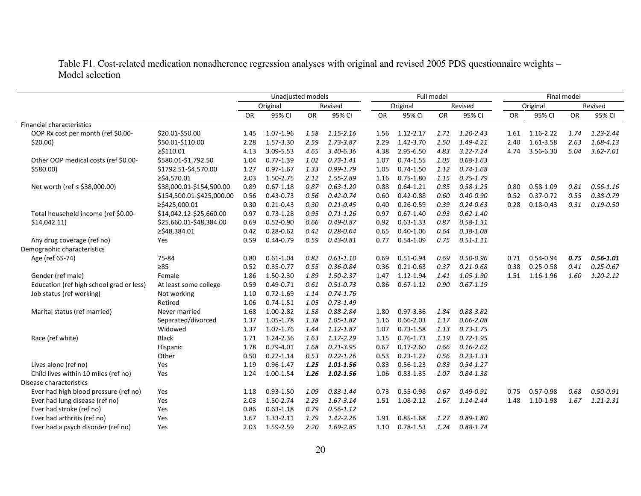Table F1. Cost-related medication nonadherence regression analyses with original and revised 2005 PDS questionnaire weights – Model selection

|                                          |                           | Unadjusted models |               |           | Full model    |           |               |      | Final model   |           |               |      |               |
|------------------------------------------|---------------------------|-------------------|---------------|-----------|---------------|-----------|---------------|------|---------------|-----------|---------------|------|---------------|
|                                          |                           |                   | Original      |           | Revised       |           | Original      |      | Revised       | Original  |               |      | Revised       |
|                                          |                           | <b>OR</b>         | 95% CI        | <b>OR</b> | 95% CI        | <b>OR</b> | 95% CI        | OR   | 95% CI        | <b>OR</b> | 95% CI        | OR   | 95% CI        |
| <b>Financial characteristics</b>         |                           |                   |               |           |               |           |               |      |               |           |               |      |               |
| OOP Rx cost per month (ref \$0.00-       | \$20.01-\$50.00           | 1.45              | 1.07-1.96     | 1.58      | 1.15-2.16     | 1.56      | 1.12-2.17     | 1.71 | $1.20 - 2.43$ | 1.61      | 1.16-2.22     | 1.74 | $1.23 - 2.44$ |
| $$20.00$ )                               | \$50.01-\$110.00          | 2.28              | 1.57-3.30     | 2.59      | 1.73-3.87     | 2.29      | 1.42-3.70     | 2.50 | 1.49-4.21     | 2.40      | 1.61-3.58     | 2.63 | 1.68-4.13     |
|                                          | $\geq$ \$110.01           | 4.13              | 3.09-5.53     | 4.65      | 3.40-6.36     | 4.38      | 2.95-6.50     | 4.83 | $3.22 - 7.24$ | 4.74      | 3.56-6.30     | 5.04 | $3.62 - 7.01$ |
| Other OOP medical costs (ref \$0.00-     | \$580.01-\$1,792.50       | 1.04              | $0.77 - 1.39$ | 1.02      | $0.73 - 1.41$ | 1.07      | $0.74 - 1.55$ | 1.05 | $0.68 - 1.63$ |           |               |      |               |
| $$580.00$ )                              | \$1792.51-\$4,570.00      | 1.27              | $0.97 - 1.67$ | 1.33      | $0.99 - 1.79$ | 1.05      | $0.74 - 1.50$ | 1.12 | $0.74 - 1.68$ |           |               |      |               |
|                                          | ≥\$4,570.01               | 2.03              | 1.50-2.75     | 2.12      | 1.55-2.89     | 1.16      | $0.75 - 1.80$ | 1.15 | $0.75 - 1.79$ |           |               |      |               |
| Net worth (ref ≤ \$38,000.00)            | \$38,000.01-\$154,500.00  | 0.89              | $0.67 - 1.18$ | 0.87      | $0.63 - 1.20$ | 0.88      | $0.64 - 1.21$ | 0.85 | $0.58 - 1.25$ | 0.80      | $0.58 - 1.09$ | 0.81 | $0.56 - 1.16$ |
|                                          | \$154,500.01-\$425,000.00 | 0.56              | $0.43 - 0.73$ | 0.56      | $0.42 - 0.74$ | 0.60      | $0.42 - 0.88$ | 0.60 | $0.40 - 0.90$ | 0.52      | $0.37 - 0.72$ | 0.55 | $0.38 - 0.79$ |
|                                          | ≥\$425,000.01             | 0.30              | $0.21 - 0.43$ | 0.30      | $0.21 - 0.45$ | 0.40      | $0.26 - 0.59$ | 0.39 | $0.24 - 0.63$ | 0.28      | $0.18 - 0.43$ | 0.31 | $0.19 - 0.50$ |
| Total household income (ref \$0.00-      | \$14,042.12-\$25,660.00   | 0.97              | $0.73 - 1.28$ | 0.95      | $0.71 - 1.26$ | 0.97      | $0.67 - 1.40$ | 0.93 | $0.62 - 1.40$ |           |               |      |               |
| \$14,042.11                              | \$25,660.01-\$48,384.00   | 0.69              | $0.52 - 0.90$ | 0.66      | $0.49 - 0.87$ | 0.92      | $0.63 - 1.33$ | 0.87 | $0.58 - 1.31$ |           |               |      |               |
|                                          | ≥\$48,384.01              | 0.42              | $0.28 - 0.62$ | 0.42      | $0.28 - 0.64$ | 0.65      | $0.40 - 1.06$ | 0.64 | $0.38 - 1.08$ |           |               |      |               |
| Any drug coverage (ref no)               | Yes                       | 0.59              | $0.44 - 0.79$ | 0.59      | $0.43 - 0.81$ | 0.77      | $0.54 - 1.09$ | 0.75 | $0.51 - 1.11$ |           |               |      |               |
| Demographic characteristics              |                           |                   |               |           |               |           |               |      |               |           |               |      |               |
| Age (ref 65-74)                          | 75-84                     | 0.80              | $0.61 - 1.04$ | 0.82      | $0.61 - 1.10$ | 0.69      | 0.51-0.94     | 0.69 | $0.50 - 0.96$ | 0.71      | 0.54-0.94     | 0.75 | $0.56 - 1.01$ |
|                                          | $\geq 85$                 | 0.52              | $0.35 - 0.77$ | 0.55      | $0.36 - 0.84$ | 0.36      | $0.21 - 0.63$ | 0.37 | $0.21 - 0.68$ | 0.38      | $0.25 - 0.58$ | 0.41 | $0.25 - 0.67$ |
| Gender (ref male)                        | Female                    | 1.86              | 1.50-2.30     | 1.89      | 1.50-2.37     | 1.47      | 1.12-1.94     | 1.41 | 1.05-1.90     | 1.51      | 1.16-1.96     | 1.60 | $1.20 - 2.12$ |
| Education (ref high school grad or less) | At least some college     | 0.59              | $0.49 - 0.71$ | 0.61      | $0.51 - 0.73$ | 0.86      | $0.67 - 1.12$ | 0.90 | $0.67 - 1.19$ |           |               |      |               |
| Job status (ref working)                 | Not working               | 1.10              | $0.72 - 1.69$ | 1.14      | $0.74 - 1.76$ |           |               |      |               |           |               |      |               |
|                                          | Retired                   | 1.06              | $0.74 - 1.51$ | 1.05      | $0.73 - 1.49$ |           |               |      |               |           |               |      |               |
| Marital status (ref married)             | Never married             | 1.68              | 1.00-2.82     | 1.58      | 0.88-2.84     | 1.80      | 0.97-3.36     | 1.84 | $0.88 - 3.82$ |           |               |      |               |
|                                          | Separated/divorced        | 1.37              | 1.05-1.78     | 1.38      | 1.05-1.82     | 1.16      | $0.66 - 2.03$ | 1.17 | $0.66 - 2.08$ |           |               |      |               |
|                                          | Widowed                   | 1.37              | 1.07-1.76     | 1.44      | 1.12-1.87     | 1.07      | $0.73 - 1.58$ | 1.13 | $0.73 - 1.75$ |           |               |      |               |
| Race (ref white)                         | <b>Black</b>              | 1.71              | 1.24-2.36     | 1.63      | $1.17 - 2.29$ | 1.15      | $0.76 - 1.73$ | 1.19 | $0.72 - 1.95$ |           |               |      |               |
|                                          | Hispanic                  | 1.78              | $0.79 - 4.01$ | 1.68      | $0.71 - 3.95$ | 0.67      | $0.17 - 2.60$ | 0.66 | $0.16 - 2.62$ |           |               |      |               |
|                                          | Other                     | 0.50              | $0.22 - 1.14$ | 0.53      | $0.22 - 1.26$ | 0.53      | $0.23 - 1.22$ | 0.56 | $0.23 - 1.33$ |           |               |      |               |
| Lives alone (ref no)                     | Yes                       | 1.19              | $0.96 - 1.47$ | 1.25      | $1.01 - 1.56$ | 0.83      | $0.56 - 1.23$ | 0.83 | $0.54 - 1.27$ |           |               |      |               |
| Child lives within 10 miles (ref no)     | Yes                       | 1.24              | 1.00-1.54     | 1.26      | 1.02-1.56     | 1.06      | $0.83 - 1.35$ | 1.07 | $0.84 - 1.38$ |           |               |      |               |
| Disease characteristics                  |                           |                   |               |           |               |           |               |      |               |           |               |      |               |
| Ever had high blood pressure (ref no)    | Yes                       | 1.18              | $0.93 - 1.50$ | 1.09      | $0.83 - 1.44$ | 0.73      | $0.55 - 0.98$ | 0.67 | $0.49 - 0.91$ | 0.75      | 0.57-0.98     | 0.68 | $0.50 - 0.91$ |
| Ever had lung disease (ref no)           | Yes                       | 2.03              | 1.50-2.74     | 2.29      | 1.67-3.14     | 1.51      | 1.08-2.12     | 1.67 | 1.14-2.44     | 1.48      | 1.10-1.98     | 1.67 | 1.21-2.31     |
| Ever had stroke (ref no)                 | Yes                       | 0.86              | $0.63 - 1.18$ | 0.79      | $0.56 - 1.12$ |           |               |      |               |           |               |      |               |
| Ever had arthritis (ref no)              | Yes                       | 1.67              | 1.33-2.11     | 1.79      | $1.42 - 2.26$ | 1.91      | $0.85 - 1.68$ | 1.27 | $0.89 - 1.80$ |           |               |      |               |
| Ever had a psych disorder (ref no)       | Yes                       | 2.03              | 1.59-2.59     | 2.20      | 1.69-2.85     | 1.10      | $0.78 - 1.53$ | 1.24 | $0.88 - 1.74$ |           |               |      |               |
|                                          |                           |                   |               |           |               |           |               |      |               |           |               |      |               |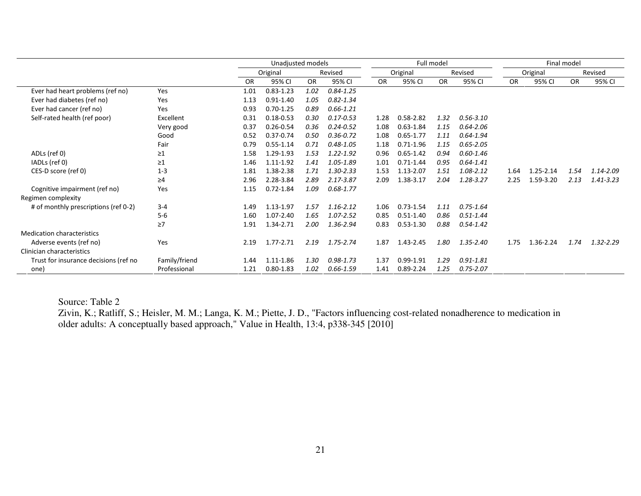|                                       |               |           | Unadjusted models |      | Full model    |           |               |           | Final model   |           |               |      |           |
|---------------------------------------|---------------|-----------|-------------------|------|---------------|-----------|---------------|-----------|---------------|-----------|---------------|------|-----------|
|                                       |               |           | Original          |      | Revised       |           | Original      |           | Revised       | Original  |               |      | Revised   |
|                                       |               | <b>OR</b> | 95% CI            | OR   | 95% CI        | <b>OR</b> | 95% CI        | <b>OR</b> | 95% CI        | <b>OR</b> | 95% CI        | OR   | 95% CI    |
| Ever had heart problems (ref no)      | Yes           | 1.01      | $0.83 - 1.23$     | 1.02 | $0.84 - 1.25$ |           |               |           |               |           |               |      |           |
| Ever had diabetes (ref no)            | Yes           | 1.13      | $0.91 - 1.40$     | 1.05 | $0.82 - 1.34$ |           |               |           |               |           |               |      |           |
| Ever had cancer (ref no)              | Yes           | 0.93      | $0.70 - 1.25$     | 0.89 | $0.66 - 1.21$ |           |               |           |               |           |               |      |           |
| Self-rated health (ref poor)          | Excellent     | 0.31      | $0.18 - 0.53$     | 0.30 | $0.17 - 0.53$ | 1.28      | $0.58 - 2.82$ | 1.32      | $0.56 - 3.10$ |           |               |      |           |
|                                       | Very good     | 0.37      | $0.26 - 0.54$     | 0.36 | $0.24 - 0.52$ | 1.08      | $0.63 - 1.84$ | 1.15      | $0.64 - 2.06$ |           |               |      |           |
|                                       | Good          | 0.52      | $0.37 - 0.74$     | 0.50 | $0.36 - 0.72$ | 1.08      | $0.65 - 1.77$ | 1.11      | $0.64 - 1.94$ |           |               |      |           |
|                                       | Fair          | 0.79      | $0.55 - 1.14$     | 0.71 | $0.48 - 1.05$ | 1.18      | $0.71 - 1.96$ | 1.15      | $0.65 - 2.05$ |           |               |      |           |
| ADLs (ref 0)                          | $\geq$ 1      | 1.58      | 1.29-1.93         | 1.53 | 1.22-1.92     | 0.96      | $0.65 - 1.42$ | 0.94      | $0.60 - 1.46$ |           |               |      |           |
| IADLs (ref 0)                         | $\geq$ 1      | 1.46      | 1.11-1.92         | 1.41 | 1.05-1.89     | 1.01      | $0.71 - 1.44$ | 0.95      | $0.64 - 1.41$ |           |               |      |           |
| CES-D score (ref 0)                   | $1 - 3$       | 1.81      | 1.38-2.38         | 1.71 | $1.30 - 2.33$ | 1.53      | 1.13-2.07     | 1.51      | 1.08-2.12     | 1.64      | $1.25 - 2.14$ | 1.54 | 1.14-2.09 |
|                                       | $\geq 4$      | 2.96      | 2.28-3.84         | 2.89 | 2.17-3.87     | 2.09      | 1.38-3.17     | 2.04      | 1.28-3.27     | 2.25      | 1.59-3.20     | 2.13 | 1.41-3.23 |
| Cognitive impairment (ref no)         | Yes           | 1.15      | $0.72 - 1.84$     | 1.09 | $0.68 - 1.77$ |           |               |           |               |           |               |      |           |
| Regimen complexity                    |               |           |                   |      |               |           |               |           |               |           |               |      |           |
| # of monthly prescriptions (ref 0-2)  | $3 - 4$       | 1.49      | 1.13-1.97         | 1.57 | $1.16 - 2.12$ | 1.06      | $0.73 - 1.54$ | 1.11      | $0.75 - 1.64$ |           |               |      |           |
|                                       | $5-6$         | 1.60      | 1.07-2.40         | 1.65 | 1.07-2.52     | 0.85      | $0.51 - 1.40$ | 0.86      | $0.51 - 1.44$ |           |               |      |           |
|                                       | $\geq 7$      | 1.91      | 1.34-2.71         | 2.00 | 1.36-2.94     | 0.83      | $0.53 - 1.30$ | 0.88      | $0.54 - 1.42$ |           |               |      |           |
| <b>Medication characteristics</b>     |               |           |                   |      |               |           |               |           |               |           |               |      |           |
| Adverse events (ref no)               | Yes           | 2.19      | 1.77-2.71         | 2.19 | $1.75 - 2.74$ | 1.87      | 1.43-2.45     | 1.80      | 1.35-2.40     | 1.75      | 1.36-2.24     | 1.74 | 1.32-2.29 |
| Clinician characteristics             |               |           |                   |      |               |           |               |           |               |           |               |      |           |
| Trust for insurance decisions (ref no | Family/friend | 1.44      | 1.11-1.86         | 1.30 | $0.98 - 1.73$ | 1.37      | 0.99-1.91     | 1.29      | $0.91 - 1.81$ |           |               |      |           |
| one)                                  | Professional  | 1.21      | $0.80 - 1.83$     | 1.02 | $0.66 - 1.59$ | 1.41      | $0.89 - 2.24$ | 1.25      | $0.75 - 2.07$ |           |               |      |           |

Source: Table 2

 Zivin, K.; Ratliff, S.; Heisler, M. M.; Langa, K. M.; Piette, J. D., "Factors influencing cost-related nonadherence to medication in older adults: A conceptually based approach," Value in Health, 13:4, p338-345 [2010]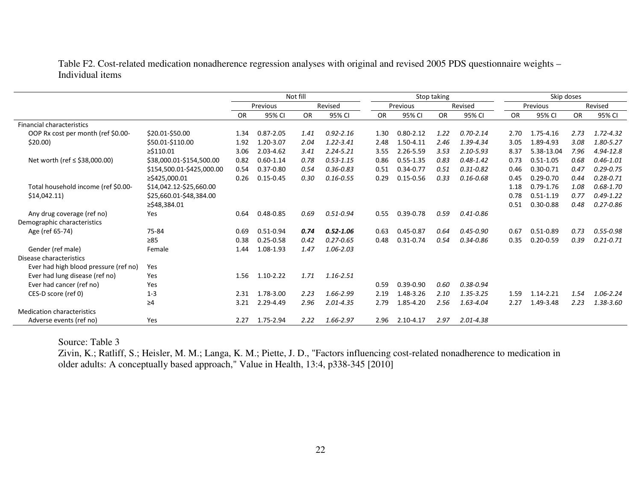Table F2. Cost-related medication nonadherence regression analyses with original and revised 2005 PDS questionnaire weights – Individual items

|                                       |                           | Not fill |               |      | Stop taking   |           |               |      | Skip doses    |           |               |           |               |
|---------------------------------------|---------------------------|----------|---------------|------|---------------|-----------|---------------|------|---------------|-----------|---------------|-----------|---------------|
|                                       |                           |          | Previous      |      | Revised       |           | Previous      |      | Revised       |           | Previous      |           | Revised       |
|                                       |                           | OR       | 95% CI        | OR   | 95% CI        | <b>OR</b> | 95% CI        | OR   | 95% CI        | <b>OR</b> | 95% CI        | <b>OR</b> | 95% CI        |
| <b>Financial characteristics</b>      |                           |          |               |      |               |           |               |      |               |           |               |           |               |
| OOP Rx cost per month (ref \$0.00-    | \$20.01-\$50.00           | 1.34     | $0.87 - 2.05$ | 1.41 | $0.92 - 2.16$ | 1.30      | $0.80 - 2.12$ | 1.22 | $0.70 - 2.14$ | 2.70      | 1.75-4.16     | 2.73      | $1.72 - 4.32$ |
| \$20.00                               | \$50.01-\$110.00          | 1.92     | 1.20-3.07     | 2.04 | $1.22 - 3.41$ | 2.48      | 1.50-4.11     | 2.46 | 1.39-4.34     | 3.05      | 1.89-4.93     | 3.08      | 1.80-5.27     |
|                                       | $\geq$ \$110.01           | 3.06     | 2.03-4.62     | 3.41 | $2.24 - 5.21$ | 3.55      | 2.26-5.59     | 3.53 | $2.10 - 5.93$ | 8.37      | 5.38-13.04    | 7.96      | 4.94-12.8     |
| Net worth (ref $\le$ \$38,000.00)     | \$38,000.01-\$154,500.00  | 0.82     | $0.60 - 1.14$ | 0.78 | $0.53 - 1.15$ | 0.86      | $0.55 - 1.35$ | 0.83 | $0.48 - 1.42$ | 0.73      | $0.51 - 1.05$ | 0.68      | $0.46 - 1.01$ |
|                                       | \$154,500.01-\$425,000.00 | 0.54     | $0.37 - 0.80$ | 0.54 | $0.36 - 0.83$ | 0.51      | $0.34 - 0.77$ | 0.51 | $0.31 - 0.82$ | 0.46      | $0.30 - 0.71$ | 0.47      | $0.29 - 0.75$ |
|                                       | ≥\$425.000.01             | 0.26     | $0.15 - 0.45$ | 0.30 | $0.16 - 0.55$ | 0.29      | $0.15 - 0.56$ | 0.33 | $0.16 - 0.68$ | 0.45      | $0.29 - 0.70$ | 0.44      | $0.28 - 0.71$ |
| Total household income (ref \$0.00-   | \$14,042.12-\$25,660.00   |          |               |      |               |           |               |      |               | 1.18      | $0.79 - 1.76$ | 1.08      | $0.68 - 1.70$ |
| \$14,042.11                           | \$25,660.01-\$48,384.00   |          |               |      |               |           |               |      |               | 0.78      | $0.51 - 1.19$ | 0.77      | $0.49 - 1.22$ |
|                                       | ≥\$48,384.01              |          |               |      |               |           |               |      |               | 0.51      | $0.30 - 0.88$ | 0.48      | $0.27 - 0.86$ |
| Any drug coverage (ref no)            | Yes                       | 0.64     | 0.48-0.85     | 0.69 | $0.51 - 0.94$ | 0.55      | $0.39 - 0.78$ | 0.59 | $0.41 - 0.86$ |           |               |           |               |
| Demographic characteristics           |                           |          |               |      |               |           |               |      |               |           |               |           |               |
| Age (ref 65-74)                       | 75-84                     | 0.69     | $0.51 - 0.94$ | 0.74 | $0.52 - 1.06$ | 0.63      | $0.45 - 0.87$ | 0.64 | $0.45 - 0.90$ | 0.67      | $0.51 - 0.89$ | 0.73      | $0.55 - 0.98$ |
|                                       | $\geq 85$                 | 0.38     | $0.25 - 0.58$ | 0.42 | $0.27 - 0.65$ | 0.48      | $0.31 - 0.74$ | 0.54 | $0.34 - 0.86$ | 0.35      | $0.20 - 0.59$ | 0.39      | $0.21 - 0.71$ |
| Gender (ref male)                     | Female                    | 1.44     | 1.08-1.93     | 1.47 | $1.06 - 2.03$ |           |               |      |               |           |               |           |               |
| Disease characteristics               |                           |          |               |      |               |           |               |      |               |           |               |           |               |
| Ever had high blood pressure (ref no) | Yes                       |          |               |      |               |           |               |      |               |           |               |           |               |
| Ever had lung disease (ref no)        | Yes                       | 1.56     | $1.10 - 2.22$ | 1.71 | $1.16 - 2.51$ |           |               |      |               |           |               |           |               |
| Ever had cancer (ref no)              | Yes                       |          |               |      |               | 0.59      | $0.39 - 0.90$ | 0.60 | $0.38 - 0.94$ |           |               |           |               |
| CES-D score (ref 0)                   | $1 - 3$                   | 2.31     | 1.78-3.00     | 2.23 | 1.66-2.99     | 2.19      | 1.48-3.26     | 2.10 | 1.35-3.25     | 1.59      | 1.14-2.21     | 1.54      | 1.06-2.24     |
|                                       | $\geq 4$                  | 3.21     | 2.29-4.49     | 2.96 | $2.01 - 4.35$ | 2.79      | 1.85-4.20     | 2.56 | 1.63-4.04     | 2.27      | 1.49-3.48     | 2.23      | 1.38-3.60     |
| <b>Medication characteristics</b>     |                           |          |               |      |               |           |               |      |               |           |               |           |               |
| Adverse events (ref no)               | Yes                       | 2.27     | 1.75-2.94     | 2.22 | 1.66-2.97     | 2.96      | 2.10-4.17     | 2.97 | $2.01 - 4.38$ |           |               |           |               |

Source: Table 3

 Zivin, K.; Ratliff, S.; Heisler, M. M.; Langa, K. M.; Piette, J. D., "Factors influencing cost-related nonadherence to medication in older adults: A conceptually based approach," Value in Health, 13:4, p338-345 [2010]